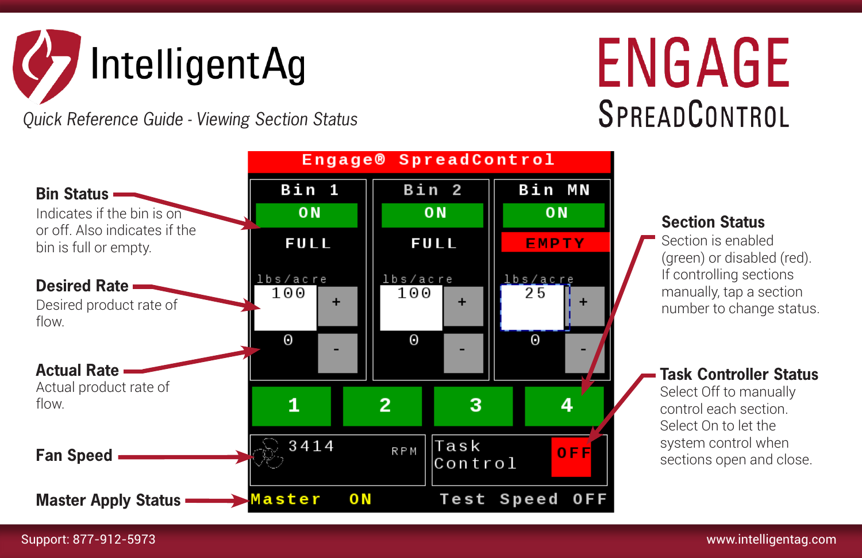

*Quick Reference Guide - Viewing Section Status*

## ENGAGE SPREADCONTROL



## **Section Status**

Section is enabled (green) or disabled (red). If controlling sections manually, tap a section number to change status.

## **Task Controller Status**

Select Off to manually control each section. Select On to let the system control when sections open and close.